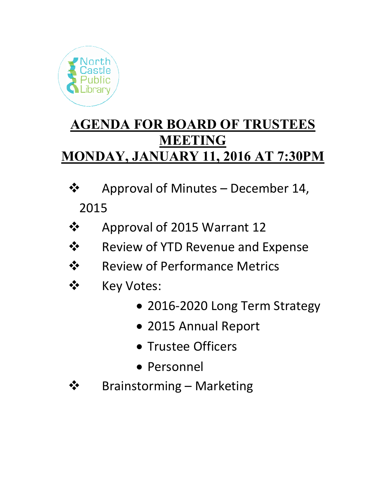

# **AGENDA FOR BOARD OF TRUSTEES MEETING MONDAY, JANUARY 11, 2016 AT 7:30PM**

- $\mathbf{\hat{\cdot} \cdot}$  Approval of Minutes December 14, 2015
- Approval of 2015 Warrant 12
- $\dots$  Review of YTD Revenue and Expense
- **❖** Review of Performance Metrics
- ❖ Key Votes:
	- 2016-2020 Long Term Strategy
	- 2015 Annual Report
	- Trustee Officers
	- Personnel
- **❖** Brainstorming Marketing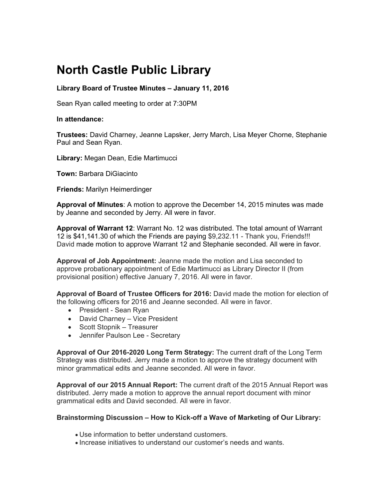# **North Castle Public Library**

## **Library Board of Trustee Minutes – January 11, 2016**

Sean Ryan called meeting to order at 7:30PM

### **In attendance:**

**Trustees:** David Charney, Jeanne Lapsker, Jerry March, Lisa Meyer Chorne, Stephanie Paul and Sean Ryan.

**Library:** Megan Dean, Edie Martimucci

**Town:** Barbara DiGiacinto

**Friends:** Marilyn Heimerdinger

**Approval of Minutes**: A motion to approve the December 14, 2015 minutes was made by Jeanne and seconded by Jerry. All were in favor.

**Approval of Warrant 12**: Warrant No. 12 was distributed. The total amount of Warrant 12 is \$41,141.30 of which the Friends are paying \$9,232.11 - Thank you, Friends!!! David made motion to approve Warrant 12 and Stephanie seconded. All were in favor.

**Approval of Job Appointment:** Jeanne made the motion and Lisa seconded to approve probationary appointment of Edie Martimucci as Library Director II (from provisional position) effective January 7, 2016. All were in favor.

**Approval of Board of Trustee Officers for 2016:** David made the motion for election of the following officers for 2016 and Jeanne seconded. All were in favor.

- President Sean Ryan
- David Charney Vice President
- Scott Stopnik Treasurer
- Jennifer Paulson Lee Secretary

**Approval of Our 2016-2020 Long Term Strategy:** The current draft of the Long Term Strategy was distributed. Jerry made a motion to approve the strategy document with minor grammatical edits and Jeanne seconded. All were in favor.

**Approval of our 2015 Annual Report:** The current draft of the 2015 Annual Report was distributed. Jerry made a motion to approve the annual report document with minor grammatical edits and David seconded. All were in favor.

### **Brainstorming Discussion – How to Kick-off a Wave of Marketing of Our Library:**

- Use information to better understand customers.
- Increase initiatives to understand our customer's needs and wants.